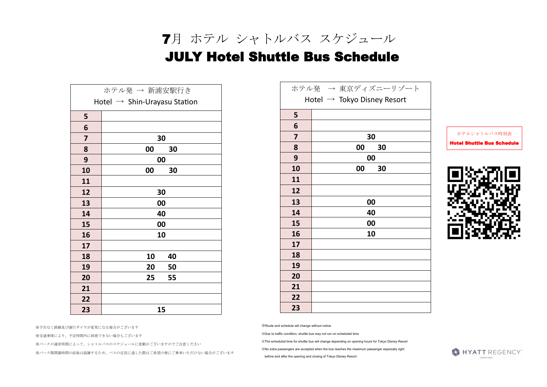※交通事情により、予定時間内に到着できない場合もございます

※パークの運営時間によって、シャトルバスのスケジュールに変動がございますのでご注意ください

※パーク開閉園時間の前後は混雑するため、バスの定員に達した際はご希望の便にご乗車いただけない場合がございます

※Route and schedule will change without notice

※Due to traffic condition, shuttle bus may not run on scheduled time

※The scheduled time for shuttle bus will change depending on opening hours for Tokyo Disney Resort

※No extra passengers are accepted when the bus reaches the maximum passenger especially right

before and after the opening and closing of Tokyo Disney Resort



ホテルシャトルバス時刻表





 7月 ホテル シャトルバス スケジュール JULY Hotel Shuttle Bus Schedule

|                             | ホテル発 → 東京ディズニーリゾート |  |  |  |
|-----------------------------|--------------------|--|--|--|
| Hotel → Tokyo Disney Resort |                    |  |  |  |
| 5                           |                    |  |  |  |
| 6                           |                    |  |  |  |
| 7                           | 30                 |  |  |  |
| 8                           | 00<br>30           |  |  |  |
| 9                           | 00                 |  |  |  |
| 10                          | 00<br>30           |  |  |  |
| 11                          |                    |  |  |  |
| 12                          |                    |  |  |  |
| 13                          | 00                 |  |  |  |
| 14                          | 40                 |  |  |  |
| 15                          | 00                 |  |  |  |
| 16                          | 10                 |  |  |  |
| 17                          |                    |  |  |  |
| 18                          |                    |  |  |  |
| 19                          |                    |  |  |  |
| 20                          |                    |  |  |  |
| 21                          |                    |  |  |  |
| 22                          |                    |  |  |  |
| 23                          |                    |  |  |  |

| ホテル発 → 新浦安駅行き                            |          |  |  |  |
|------------------------------------------|----------|--|--|--|
| Hotel $\rightarrow$ Shin-Urayasu Station |          |  |  |  |
| 5                                        |          |  |  |  |
| 6                                        |          |  |  |  |
| $\overline{\mathbf{z}}$                  | 30       |  |  |  |
| 8                                        | 00<br>30 |  |  |  |
| 9                                        | 00       |  |  |  |
| 10                                       | 00<br>30 |  |  |  |
| 11                                       |          |  |  |  |
| 12                                       | 30       |  |  |  |
| 13                                       | 00       |  |  |  |
| 14                                       | 40       |  |  |  |
| 15                                       | 00       |  |  |  |
| 16                                       | 10       |  |  |  |
| 17                                       |          |  |  |  |
| 18                                       | 10<br>40 |  |  |  |
| 19                                       | 20<br>50 |  |  |  |
| 20                                       | 55<br>25 |  |  |  |
| 21                                       |          |  |  |  |
| 22                                       |          |  |  |  |
| 23                                       | 15       |  |  |  |

※予告なく路線及び運行ダイヤが変更になる場合がございます